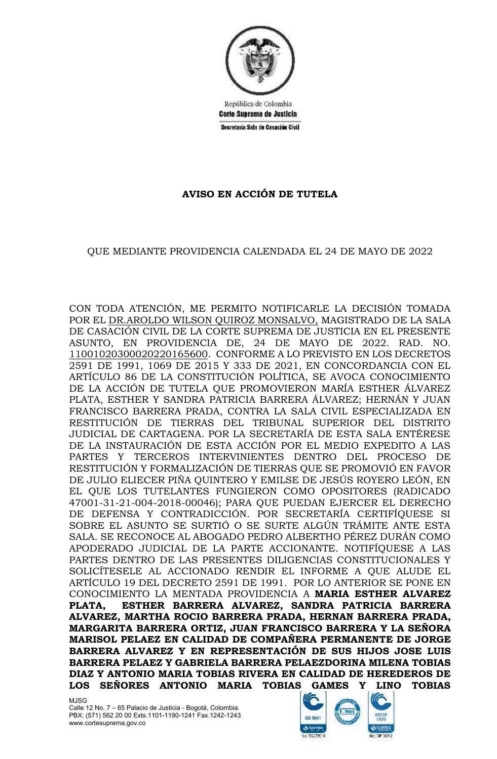

República de Colombia Corte Suprema de Justicia Secretaria Sala de Casación Civil

## **AVISO EN ACCIÓN DE TUTELA**

## QUE MEDIANTE PROVIDENCIA CALENDADA EL 24 DE MAYO DE 2022

CON TODA ATENCIÓN, ME PERMITO NOTIFICARLE LA DECISIÓN TOMADA POR EL DR.AROLDO WILSON QUIROZ MONSALVO, MAGISTRADO DE LA SALA DE CASACIÓN CIVIL DE LA CORTE SUPREMA DE JUSTICIA EN EL PRESENTE ASUNTO, EN PROVIDENCIA DE, 24 DE MAYO DE 2022. RAD. NO. 11001020300020220165600. CONFORME A LO PREVISTO EN LOS DECRETOS 2591 DE 1991, 1069 DE 2015 Y 333 DE 2021, EN CONCORDANCIA CON EL ARTÍCULO 86 DE LA CONSTITUCIÓN POLÍTICA, SE AVOCA CONOCIMIENTO DE LA ACCIÓN DE TUTELA QUE PROMOVIERON MARÍA ESTHER ÁLVAREZ PLATA, ESTHER Y SANDRA PATRICIA BARRERA ÁLVAREZ; HERNÁN Y JUAN FRANCISCO BARRERA PRADA, CONTRA LA SALA CIVIL ESPECIALIZADA EN RESTITUCIÓN DE TIERRAS DEL TRIBUNAL SUPERIOR DEL DISTRITO JUDICIAL DE CARTAGENA. POR LA SECRETARÍA DE ESTA SALA ENTÉRESE DE LA INSTAURACIÓN DE ESTA ACCIÓN POR EL MEDIO EXPEDITO A LAS PARTES Y TERCEROS INTERVINIENTES DENTRO DEL PROCESO DE RESTITUCIÓN Y FORMALIZACIÓN DE TIERRAS QUE SE PROMOVIÓ EN FAVOR DE JULIO ELIECER PIÑA QUINTERO Y EMILSE DE JESÚS ROYERO LEÓN, EN EL QUE LOS TUTELANTES FUNGIERON COMO OPOSITORES (RADICADO 47001-31-21-004-2018-00046); PARA QUE PUEDAN EJERCER EL DERECHO DE DEFENSA Y CONTRADICCIÓN. POR SECRETARÍA CERTIFÍQUESE SI SOBRE EL ASUNTO SE SURTIÓ O SE SURTE ALGÚN TRÁMITE ANTE ESTA SALA. SE RECONOCE AL ABOGADO PEDRO ALBERTHO PÉREZ DURÁN COMO APODERADO JUDICIAL DE LA PARTE ACCIONANTE. NOTIFÍQUESE A LAS PARTES DENTRO DE LAS PRESENTES DILIGENCIAS CONSTITUCIONALES Y SOLICÍTESELE AL ACCIONADO RENDIR EL INFORME A QUE ALUDE EL ARTÍCULO 19 DEL DECRETO 2591 DE 1991. POR LO ANTERIOR SE PONE EN CONOCIMIENTO LA MENTADA PROVIDENCIA A **MARIA ESTHER ALVAREZ PLATA, ESTHER BARRERA ALVAREZ, SANDRA PATRICIA BARRERA ALVAREZ, MARTHA ROCIO BARRERA PRADA, HERNAN BARRERA PRADA, MARGARITA BARRERA ORTIZ, JUAN FRANCISCO BARRERA Y LA SEÑORA MARISOL PELAEZ EN CALIDAD DE COMPAÑERA PERMANENTE DE JORGE BARRERA ALVAREZ Y EN REPRESENTACIÓN DE SUS HIJOS JOSE LUIS BARRERA PELAEZ Y GABRIELA BARRERA PELAEZDORINA MILENA TOBIAS DIAZ Y ANTONIO MARIA TOBIAS RIVERA EN CALIDAD DE HEREDEROS DE LOS SEÑORES ANTONIO MARIA TOBIAS GAMES Y LINO TOBIAS**